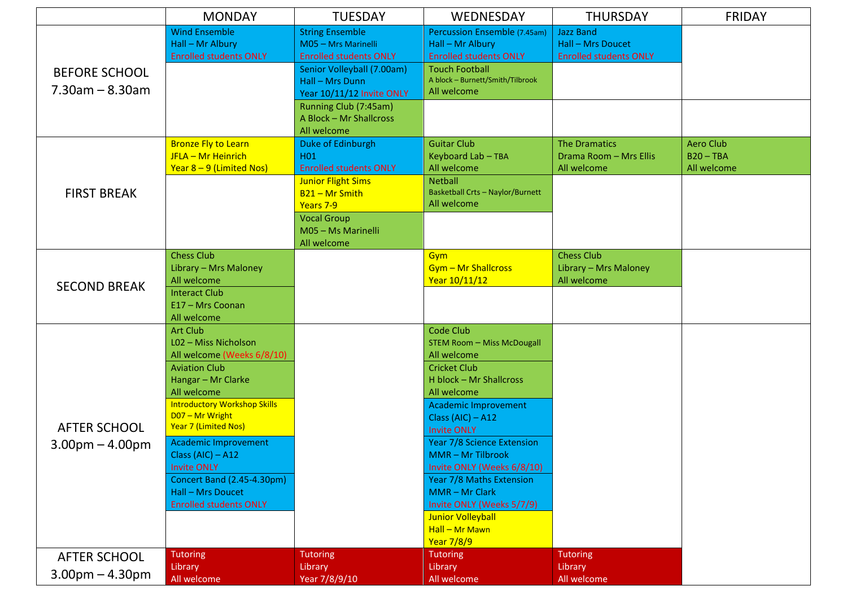|                                            | <b>MONDAY</b>                                                                                                                                                                                                                                                                                                                                                                        | <b>TUESDAY</b>                                                                                                                                                                                                   | WEDNESDAY                                                                                                                                                                                                                                                                                                                                                                                                                                             | <b>THURSDAY</b>                                                               | <b>FRIDAY</b>              |
|--------------------------------------------|--------------------------------------------------------------------------------------------------------------------------------------------------------------------------------------------------------------------------------------------------------------------------------------------------------------------------------------------------------------------------------------|------------------------------------------------------------------------------------------------------------------------------------------------------------------------------------------------------------------|-------------------------------------------------------------------------------------------------------------------------------------------------------------------------------------------------------------------------------------------------------------------------------------------------------------------------------------------------------------------------------------------------------------------------------------------------------|-------------------------------------------------------------------------------|----------------------------|
| <b>BEFORE SCHOOL</b><br>$7.30$ am – 8.30am | <b>Wind Ensemble</b><br>Hall - Mr Albury<br><b>Enrolled students ONLY</b>                                                                                                                                                                                                                                                                                                            | <b>String Ensemble</b><br>M05 - Mrs Marinelli<br><b>Enrolled students ONLY</b><br>Senior Volleyball (7.00am)<br>Hall - Mrs Dunn<br>Year 10/11/12 Invite ONLY<br>Running Club (7:45am)<br>A Block - Mr Shallcross | Percussion Ensemble (7.45am)<br>Hall - Mr Albury<br><b>Enrolled students ONLY</b><br><b>Touch Football</b><br>A block - Burnett/Smith/Tilbrook<br>All welcome                                                                                                                                                                                                                                                                                         | <b>Jazz Band</b><br><b>Hall - Mrs Doucet</b><br><b>Enrolled students ONLY</b> |                            |
|                                            | <b>Bronze Fly to Learn</b>                                                                                                                                                                                                                                                                                                                                                           | All welcome<br>Duke of Edinburgh                                                                                                                                                                                 | <b>Guitar Club</b>                                                                                                                                                                                                                                                                                                                                                                                                                                    | <b>The Dramatics</b>                                                          | <b>Aero Club</b>           |
| <b>FIRST BREAK</b>                         | JFLA - Mr Heinrich<br>Year $8 - 9$ (Limited Nos)                                                                                                                                                                                                                                                                                                                                     | H <sub>01</sub><br><b>Enrolled students ONLY</b>                                                                                                                                                                 | Keyboard Lab - TBA<br>All welcome                                                                                                                                                                                                                                                                                                                                                                                                                     | Drama Room - Mrs Ellis<br>All welcome                                         | $B20 - TBA$<br>All welcome |
|                                            |                                                                                                                                                                                                                                                                                                                                                                                      | <b>Junior Flight Sims</b><br>B <sub>21</sub> - Mr Smith<br>Years 7-9<br><b>Vocal Group</b><br>M05 - Ms Marinelli                                                                                                 | <b>Netball</b><br><b>Basketball Crts - Naylor/Burnett</b><br>All welcome                                                                                                                                                                                                                                                                                                                                                                              |                                                                               |                            |
| <b>SECOND BREAK</b>                        | <b>Chess Club</b><br>Library - Mrs Maloney<br>All welcome<br><b>Interact Club</b><br>E17 - Mrs Coonan<br>All welcome                                                                                                                                                                                                                                                                 | All welcome                                                                                                                                                                                                      | <b>Gym</b><br>Gym - Mr Shallcross<br>Year 10/11/12                                                                                                                                                                                                                                                                                                                                                                                                    | <b>Chess Club</b><br>Library - Mrs Maloney<br>All welcome                     |                            |
| <b>AFTER SCHOOL</b><br>$3.00pm - 4.00pm$   | <b>Art Club</b><br>L02 - Miss Nicholson<br>All welcome (Weeks 6/8/10)<br><b>Aviation Club</b><br>Hangar - Mr Clarke<br>All welcome<br><b>Introductory Workshop Skills</b><br>D07 - Mr Wright<br>Year 7 (Limited Nos)<br><b>Academic Improvement</b><br>Class $(AIC) - A12$<br><b>Invite ONLY</b><br>Concert Band (2.45-4.30pm)<br>Hall - Mrs Doucet<br><b>Enrolled students ONLY</b> |                                                                                                                                                                                                                  | <b>Code Club</b><br><b>STEM Room - Miss McDougall</b><br>All welcome<br><b>Cricket Club</b><br>H block - Mr Shallcross<br>All welcome<br><b>Academic Improvement</b><br>Class $(AIC) - A12$<br><b>Invite ONLY</b><br>Year 7/8 Science Extension<br><b>MMR-Mr Tilbrook</b><br>Invite ONLY (Weeks 6/8/10)<br>Year 7/8 Maths Extension<br>MMR - Mr Clark<br>Invite ONLY (Weeks 5/7/9)<br><b>Junior Volleyball</b><br>Hall - Mr Mawn<br><b>Year 7/8/9</b> |                                                                               |                            |
| <b>AFTER SCHOOL</b>                        | <b>Tutoring</b><br>Library                                                                                                                                                                                                                                                                                                                                                           | <b>Tutoring</b><br>Library                                                                                                                                                                                       | <b>Tutoring</b><br>Library                                                                                                                                                                                                                                                                                                                                                                                                                            | <b>Tutoring</b><br>Library                                                    |                            |
| $3.00$ pm $- 4.30$ pm                      | All welcome                                                                                                                                                                                                                                                                                                                                                                          | Year 7/8/9/10                                                                                                                                                                                                    | All welcome                                                                                                                                                                                                                                                                                                                                                                                                                                           | All welcome                                                                   |                            |